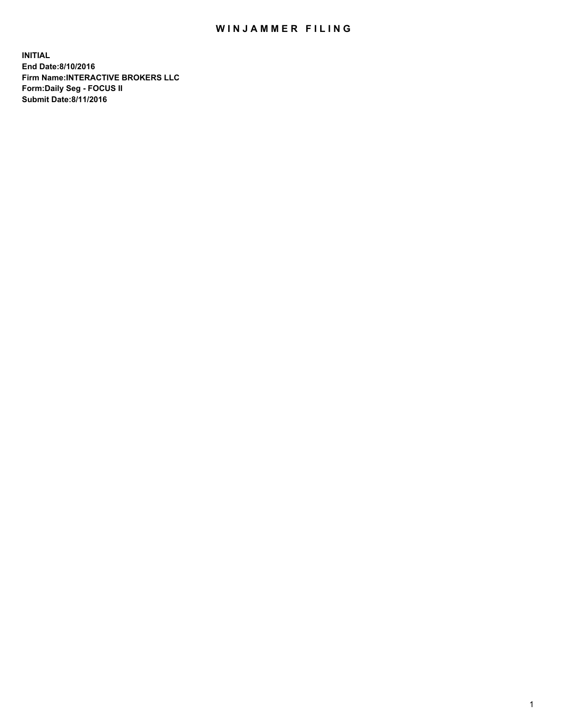## WIN JAMMER FILING

**INITIAL End Date:8/10/2016 Firm Name:INTERACTIVE BROKERS LLC Form:Daily Seg - FOCUS II Submit Date:8/11/2016**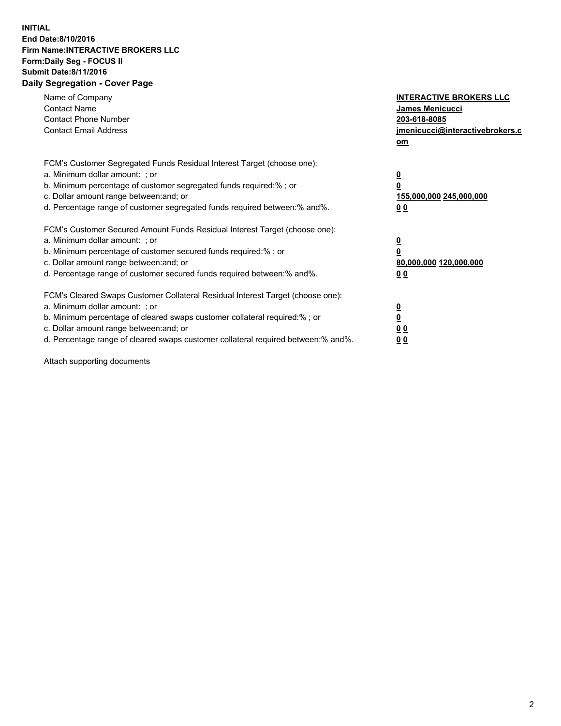## **INITIAL End Date:8/10/2016 Firm Name:INTERACTIVE BROKERS LLC Form:Daily Seg - FOCUS II Submit Date:8/11/2016 Daily Segregation - Cover Page**

| Name of Company<br><b>Contact Name</b><br><b>Contact Phone Number</b><br><b>Contact Email Address</b>                                                                                                                                                                                                                          | <b>INTERACTIVE BROKERS LLC</b><br><b>James Menicucci</b><br>203-618-8085<br>jmenicucci@interactivebrokers.c<br>om |
|--------------------------------------------------------------------------------------------------------------------------------------------------------------------------------------------------------------------------------------------------------------------------------------------------------------------------------|-------------------------------------------------------------------------------------------------------------------|
| FCM's Customer Segregated Funds Residual Interest Target (choose one):<br>a. Minimum dollar amount: ; or<br>b. Minimum percentage of customer segregated funds required:% ; or<br>c. Dollar amount range between: and; or<br>d. Percentage range of customer segregated funds required between: % and %.                       | $\overline{\mathbf{0}}$<br>0<br>155,000,000 245,000,000<br>00                                                     |
| FCM's Customer Secured Amount Funds Residual Interest Target (choose one):<br>a. Minimum dollar amount: ; or<br>b. Minimum percentage of customer secured funds required:%; or<br>c. Dollar amount range between: and; or<br>d. Percentage range of customer secured funds required between: % and %.                          | $\overline{\mathbf{0}}$<br>0<br>80,000,000 120,000,000<br>00                                                      |
| FCM's Cleared Swaps Customer Collateral Residual Interest Target (choose one):<br>a. Minimum dollar amount: ; or<br>b. Minimum percentage of cleared swaps customer collateral required:% ; or<br>c. Dollar amount range between: and; or<br>d. Percentage range of cleared swaps customer collateral required between:% and%. | $\overline{\mathbf{0}}$<br>$\overline{\mathbf{0}}$<br>00<br>0 <sub>0</sub>                                        |

Attach supporting documents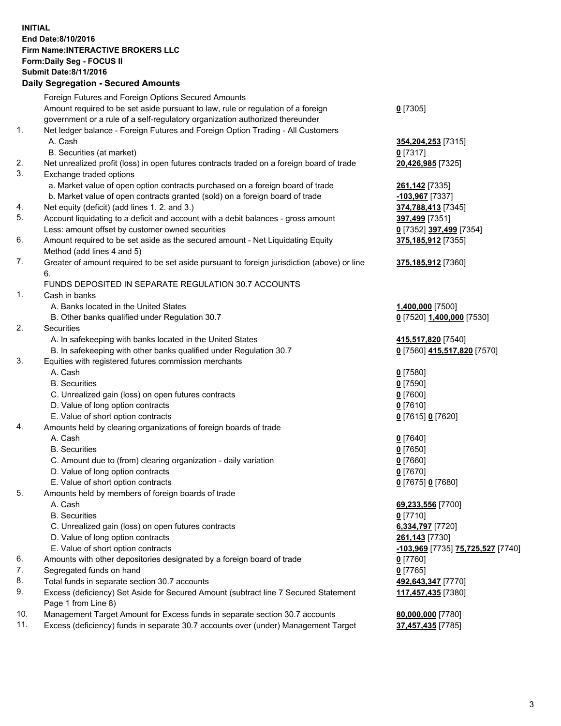## **INITIAL End Date:8/10/2016 Firm Name:INTERACTIVE BROKERS LLC Form:Daily Seg - FOCUS II Submit Date:8/11/2016 Daily Segregation - Secured Amounts**

|     | Daily Segregation - Secured Amounts                                                                        |                                   |
|-----|------------------------------------------------------------------------------------------------------------|-----------------------------------|
|     | Foreign Futures and Foreign Options Secured Amounts                                                        |                                   |
|     | Amount required to be set aside pursuant to law, rule or regulation of a foreign                           | $0$ [7305]                        |
|     | government or a rule of a self-regulatory organization authorized thereunder                               |                                   |
| 1.  | Net ledger balance - Foreign Futures and Foreign Option Trading - All Customers                            |                                   |
|     | A. Cash                                                                                                    | 354, 204, 253 [7315]              |
|     | B. Securities (at market)                                                                                  | $0$ [7317]                        |
| 2.  | Net unrealized profit (loss) in open futures contracts traded on a foreign board of trade                  | 20,426,985 [7325]                 |
| 3.  | Exchange traded options                                                                                    |                                   |
|     | a. Market value of open option contracts purchased on a foreign board of trade                             | 261,142 [7335]                    |
|     | b. Market value of open contracts granted (sold) on a foreign board of trade                               | -103,967 [7337]                   |
| 4.  | Net equity (deficit) (add lines 1.2. and 3.)                                                               | 374,788,413 [7345]                |
| 5.  | Account liquidating to a deficit and account with a debit balances - gross amount                          | 397,499 [7351]                    |
|     | Less: amount offset by customer owned securities                                                           | 0 [7352] 397,499 [7354]           |
| 6.  | Amount required to be set aside as the secured amount - Net Liquidating Equity                             | 375,185,912 [7355]                |
|     | Method (add lines 4 and 5)                                                                                 |                                   |
| 7.  | Greater of amount required to be set aside pursuant to foreign jurisdiction (above) or line                | 375,185,912 [7360]                |
|     | 6.                                                                                                         |                                   |
|     | FUNDS DEPOSITED IN SEPARATE REGULATION 30.7 ACCOUNTS                                                       |                                   |
| 1.  | Cash in banks                                                                                              |                                   |
|     | A. Banks located in the United States                                                                      | 1,400,000 [7500]                  |
|     | B. Other banks qualified under Regulation 30.7                                                             | 0 [7520] 1,400,000 [7530]         |
| 2.  | Securities                                                                                                 |                                   |
|     | A. In safekeeping with banks located in the United States                                                  | 415,517,820 [7540]                |
|     | B. In safekeeping with other banks qualified under Regulation 30.7                                         | 0 [7560] 415,517,820 [7570]       |
| 3.  | Equities with registered futures commission merchants                                                      |                                   |
|     | A. Cash                                                                                                    | $0$ [7580]                        |
|     | <b>B.</b> Securities                                                                                       | $0$ [7590]                        |
|     | C. Unrealized gain (loss) on open futures contracts                                                        | $0$ [7600]                        |
|     | D. Value of long option contracts                                                                          | $0$ [7610]                        |
|     | E. Value of short option contracts                                                                         | 0 [7615] 0 [7620]                 |
| 4.  | Amounts held by clearing organizations of foreign boards of trade                                          |                                   |
|     | A. Cash                                                                                                    | $0$ [7640]                        |
|     | <b>B.</b> Securities                                                                                       | $0$ [7650]                        |
|     | C. Amount due to (from) clearing organization - daily variation                                            | $0$ [7660]                        |
|     | D. Value of long option contracts                                                                          | $0$ [7670]                        |
|     | E. Value of short option contracts                                                                         | 0 [7675] 0 [7680]                 |
| 5.  | Amounts held by members of foreign boards of trade                                                         |                                   |
|     | A. Cash                                                                                                    | 69,233,556 [7700]                 |
|     | <b>B.</b> Securities                                                                                       | $0$ [7710]                        |
|     | C. Unrealized gain (loss) on open futures contracts                                                        | 6,334,797 [7720]                  |
|     | D. Value of long option contracts                                                                          | 261,143 [7730]                    |
|     | E. Value of short option contracts                                                                         | -103,969 [7735] 75,725,527 [7740] |
| 6.  | Amounts with other depositories designated by a foreign board of trade                                     | $0$ [7760]                        |
| 7.  | Segregated funds on hand                                                                                   | $0$ [7765]                        |
| 8.  | Total funds in separate section 30.7 accounts                                                              | 492,643,347 [7770]                |
| 9.  | Excess (deficiency) Set Aside for Secured Amount (subtract line 7 Secured Statement<br>Page 1 from Line 8) | 117,457,435 [7380]                |
| 10. | Management Target Amount for Excess funds in separate section 30.7 accounts                                | 80,000,000 [7780]                 |
| 11. | Excess (deficiency) funds in separate 30.7 accounts over (under) Management Target                         | 37,457,435 [7785]                 |
|     |                                                                                                            |                                   |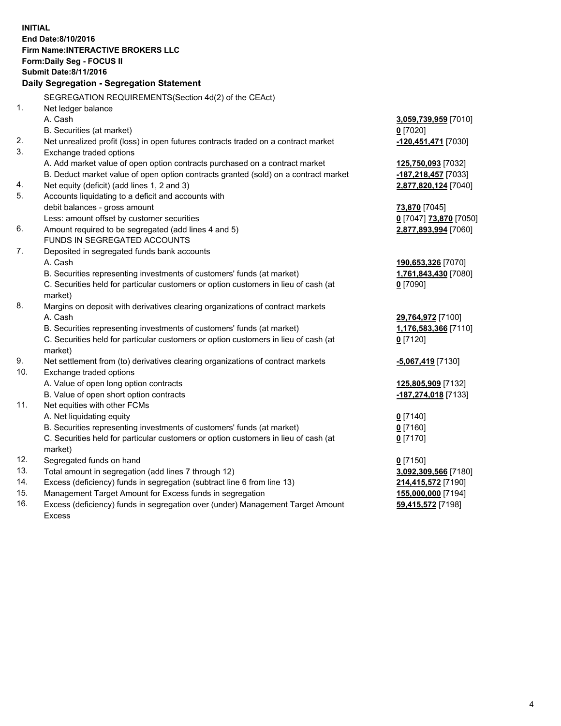**INITIAL End Date:8/10/2016 Firm Name:INTERACTIVE BROKERS LLC Form:Daily Seg - FOCUS II Submit Date:8/11/2016 Daily Segregation - Segregation Statement** SEGREGATION REQUIREMENTS(Section 4d(2) of the CEAct) 1. Net ledger balance A. Cash **3,059,739,959** [7010] B. Securities (at market) **0** [7020] 2. Net unrealized profit (loss) in open futures contracts traded on a contract market **-120,451,471** [7030] 3. Exchange traded options A. Add market value of open option contracts purchased on a contract market **125,750,093** [7032] B. Deduct market value of open option contracts granted (sold) on a contract market **-187,218,457** [7033] 4. Net equity (deficit) (add lines 1, 2 and 3) **2,877,820,124** [7040] 5. Accounts liquidating to a deficit and accounts with debit balances - gross amount **73,870** [7045] Less: amount offset by customer securities **0** [7047] **73,870** [7050] 6. Amount required to be segregated (add lines 4 and 5) **2,877,893,994** [7060] FUNDS IN SEGREGATED ACCOUNTS 7. Deposited in segregated funds bank accounts A. Cash **190,653,326** [7070] B. Securities representing investments of customers' funds (at market) **1,761,843,430** [7080] C. Securities held for particular customers or option customers in lieu of cash (at market) **0** [7090] 8. Margins on deposit with derivatives clearing organizations of contract markets A. Cash **29,764,972** [7100] B. Securities representing investments of customers' funds (at market) **1,176,583,366** [7110] C. Securities held for particular customers or option customers in lieu of cash (at market) **0** [7120] 9. Net settlement from (to) derivatives clearing organizations of contract markets **-5,067,419** [7130] 10. Exchange traded options A. Value of open long option contracts **125,805,909** [7132] B. Value of open short option contracts **-187,274,018** [7133] 11. Net equities with other FCMs A. Net liquidating equity **0** [7140] B. Securities representing investments of customers' funds (at market) **0** [7160] C. Securities held for particular customers or option customers in lieu of cash (at market) **0** [7170] 12. Segregated funds on hand **0** [7150] 13. Total amount in segregation (add lines 7 through 12) **3,092,309,566** [7180] 14. Excess (deficiency) funds in segregation (subtract line 6 from line 13) **214,415,572** [7190] 15. Management Target Amount for Excess funds in segregation **155,000,000** [7194] **59,415,572** [7198]

16. Excess (deficiency) funds in segregation over (under) Management Target Amount Excess